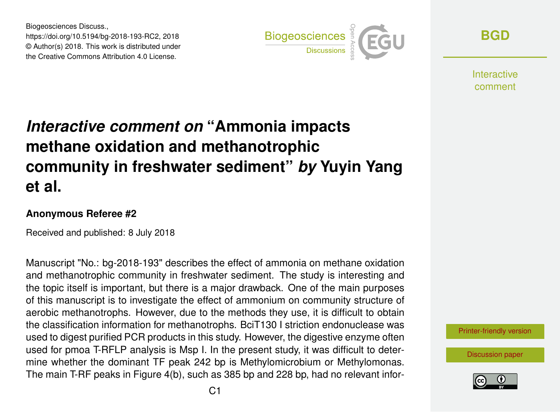Biogeosciences Discuss., https://doi.org/10.5194/bg-2018-193-RC2, 2018 © Author(s) 2018. This work is distributed under the Creative Commons Attribution 4.0 License.



**[BGD](https://www.biogeosciences-discuss.net/)**

**Interactive** comment

## *Interactive comment on* **"Ammonia impacts methane oxidation and methanotrophic community in freshwater sediment"** *by* **Yuyin Yang et al.**

## **Anonymous Referee #2**

Received and published: 8 July 2018

Manuscript "No.: bg-2018-193" describes the effect of ammonia on methane oxidation and methanotrophic community in freshwater sediment. The study is interesting and the topic itself is important, but there is a major drawback. One of the main purposes of this manuscript is to investigate the effect of ammonium on community structure of aerobic methanotrophs. However, due to the methods they use, it is difficult to obtain the classification information for methanotrophs. BciT130 I striction endonuclease was used to digest purified PCR products in this study. However, the digestive enzyme often used for pmoa T-RFLP analysis is Msp I. In the present study, it was difficult to determine whether the dominant TF peak 242 bp is Methylomicrobium or Methylomonas. The main T-RF peaks in Figure 4(b), such as 385 bp and 228 bp, had no relevant infor-

[Printer-friendly version](https://www.biogeosciences-discuss.net/bg-2018-193/bg-2018-193-RC2-print.pdf)

[Discussion paper](https://www.biogeosciences-discuss.net/bg-2018-193)